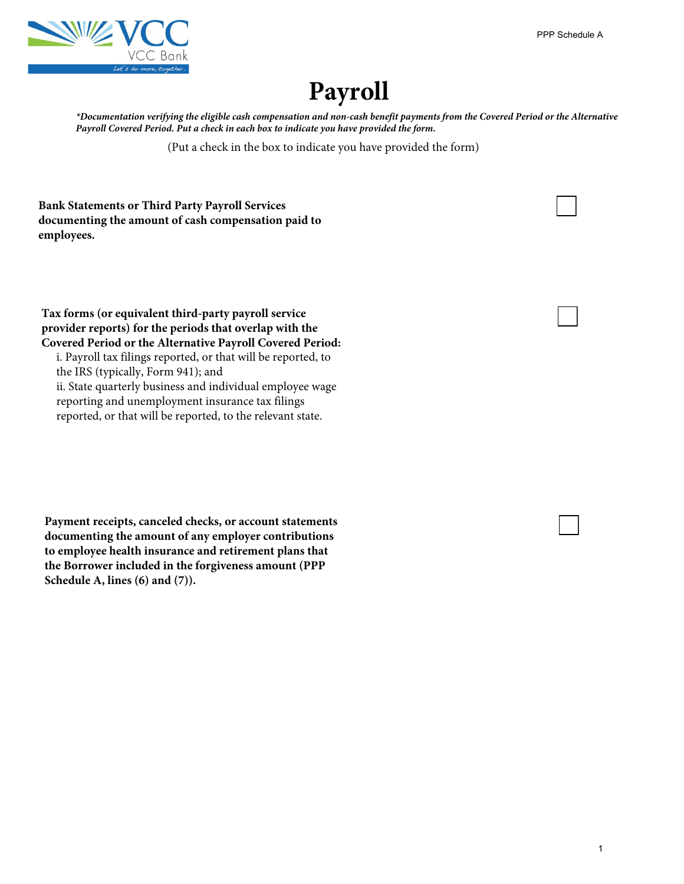

## **Payroll**

*\*Documentation verifying the eligible cash compensation and non-cash benefit payments from the Covered Period or the Alternative Payroll Covered Period. Put a check in each box to indicate you have provided the form.* PPP Schedule A<br>d or the Alterna<br>1

(Put a check in the box to indicate you have provided the form)

**Bank Statements or Third Party Payroll Services documenting the amount of cash compensation paid to employees.**

**Tax forms (or equivalent third-party payroll service provider reports) for the periods that overlap with the Covered Period or the Alternative Payroll Covered Period:** 

i. Payroll tax filings reported, or that will be reported, to the IRS (typically, Form 941); and ii. State quarterly business and individual employee wage reporting and unemployment insurance tax filings reported, or that will be reported, to the relevant state.

**Payment receipts, canceled checks, or account statements documenting the amount of any employer contributions to employee health insurance and retirement plans that the Borrower included in the forgiveness amount (PPP Schedule A, lines (6) and (7)).**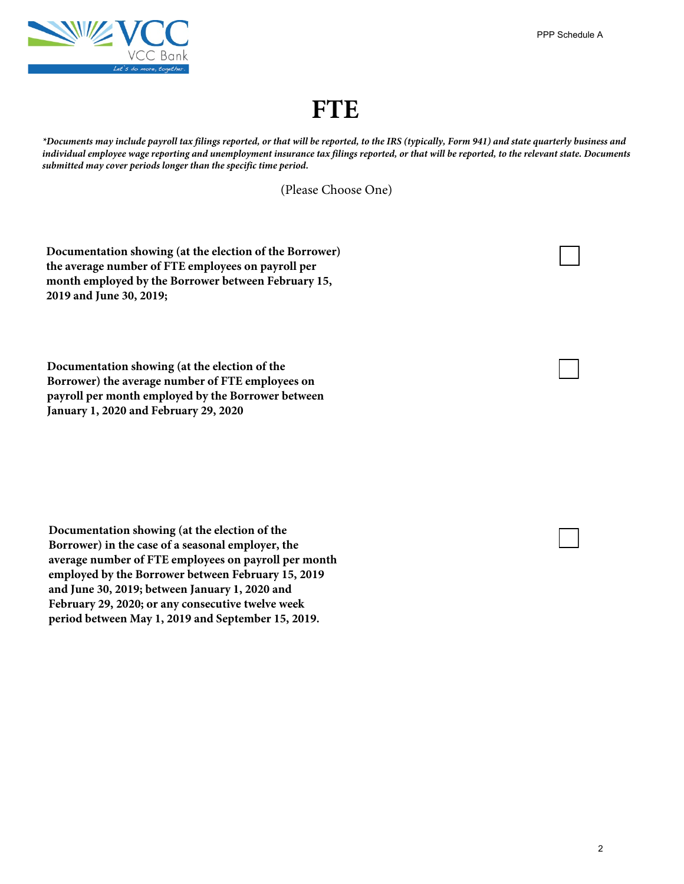

## **FTE**

*\*Documents may include payroll tax filings reported, or that will be reported, to the IRS (typically, Form 941) and state quarterly business and individual employee wage reporting and unemployment insurance tax filings reported, or that will be reported, to the relevant state. Documents submitted may cover periods longer than the specific time period.* PPP Schedule A<br>
uarterly busines<br>
evant state. Doct<br>
and the set of the set of the set of the set of the set of the set of the set of the set of the set of the set of the set of the set of the set of the set of the set of

(Please Choose One)

**Documentation showing (at the election of the Borrower) the average number of FTE employees on payroll per month employed by the Borrower between February 15, 2019 and June 30, 2019;**

**Documentation showing (at the election of the Borrower) the average number of FTE employees on payroll per month employed by the Borrower between January 1, 2020 and February 29, 2020**

**Documentation showing (at the election of the Borrower) in the case of a seasonal employer, the average number of FTE employees on payroll per month employed by the Borrower between February 15, 2019 and June 30, 2019; between January 1, 2020 and February 29, 2020; or any consecutive twelve week period between May 1, 2019 and September 15, 2019.**